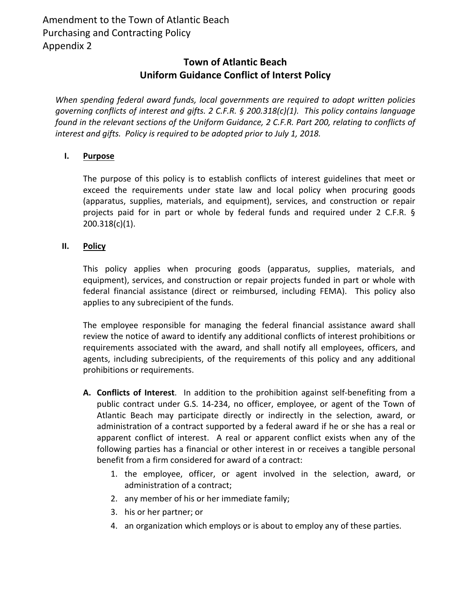## **Town of Atlantic Beach Uniform Guidance Conflict of Interst Policy**

*When spending federal award funds, local governments are required to adopt written policies governing conflicts of interest and gifts. 2 C.F.R. § 200.318(c)(1). This policy contains language found in the relevant sections of the Uniform Guidance, 2 C.F.R. Part 200, relating to conflicts of interest and gifts. Policy is required to be adopted prior to July 1, 2018.*

## **I. Purpose**

The purpose of this policy is to establish conflicts of interest guidelines that meet or exceed the requirements under state law and local policy when procuring goods (apparatus, supplies, materials, and equipment), services, and construction or repair projects paid for in part or whole by federal funds and required under 2 C.F.R. § 200.318(c)(1).

## **II. Policy**

This policy applies when procuring goods (apparatus, supplies, materials, and equipment), services, and construction or repair projects funded in part or whole with federal financial assistance (direct or reimbursed, including FEMA). This policy also applies to any subrecipient of the funds.

The employee responsible for managing the federal financial assistance award shall review the notice of award to identify any additional conflicts of interest prohibitions or requirements associated with the award, and shall notify all employees, officers, and agents, including subrecipients, of the requirements of this policy and any additional prohibitions or requirements.

- **A. Conflicts of Interest**. In addition to the prohibition against self‐benefiting from a public contract under G.S. 14‐234, no officer, employee, or agent of the Town of Atlantic Beach may participate directly or indirectly in the selection, award, or administration of a contract supported by a federal award if he or she has a real or apparent conflict of interest. A real or apparent conflict exists when any of the following parties has a financial or other interest in or receives a tangible personal benefit from a firm considered for award of a contract:
	- 1. the employee, officer, or agent involved in the selection, award, or administration of a contract;
	- 2. any member of his or her immediate family;
	- 3. his or her partner; or
	- 4. an organization which employs or is about to employ any of these parties.